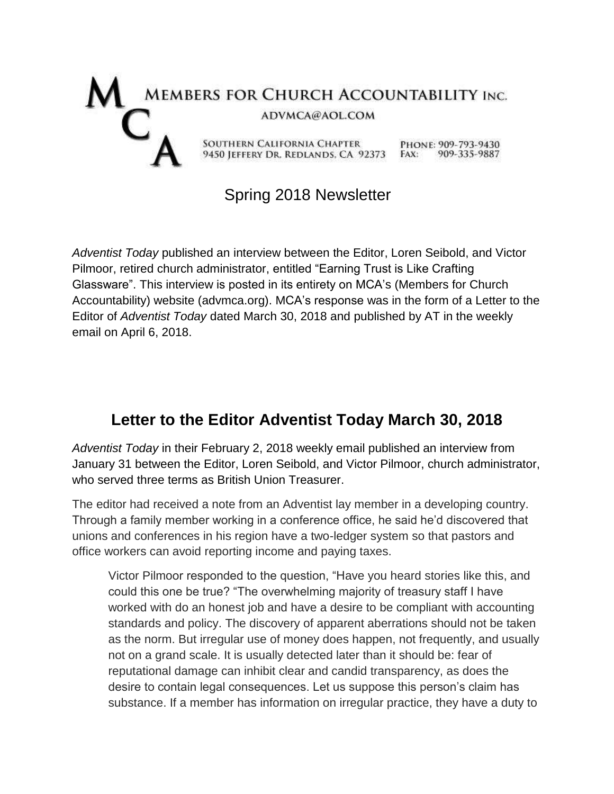

## Spring 2018 Newsletter

*Adventist Today* published an interview between the Editor, Loren Seibold, and Victor Pilmoor, retired church administrator, entitled "Earning Trust is Like Crafting Glassware". This interview is posted in its entirety on MCA's (Members for Church Accountability) website (advmca.org). MCA's response was in the form of a Letter to the Editor of *Adventist Today* dated March 30, 2018 and published by AT in the weekly email on April 6, 2018.

## **Letter to the Editor Adventist Today March 30, 2018**

*Adventist Today* in their February 2, 2018 weekly email published an interview from January 31 between the Editor, Loren Seibold, and Victor Pilmoor, church administrator, who served three terms as British Union Treasurer.

The editor had received a note from an Adventist lay member in a developing country. Through a family member working in a conference office, he said he'd discovered that unions and conferences in his region have a two-ledger system so that pastors and office workers can avoid reporting income and paying taxes.

Victor Pilmoor responded to the question, "Have you heard stories like this, and could this one be true? "The overwhelming majority of treasury staff I have worked with do an honest job and have a desire to be compliant with accounting standards and policy. The discovery of apparent aberrations should not be taken as the norm. But irregular use of money does happen, not frequently, and usually not on a grand scale. It is usually detected later than it should be: fear of reputational damage can inhibit clear and candid transparency, as does the desire to contain legal consequences. Let us suppose this person's claim has substance. If a member has information on irregular practice, they have a duty to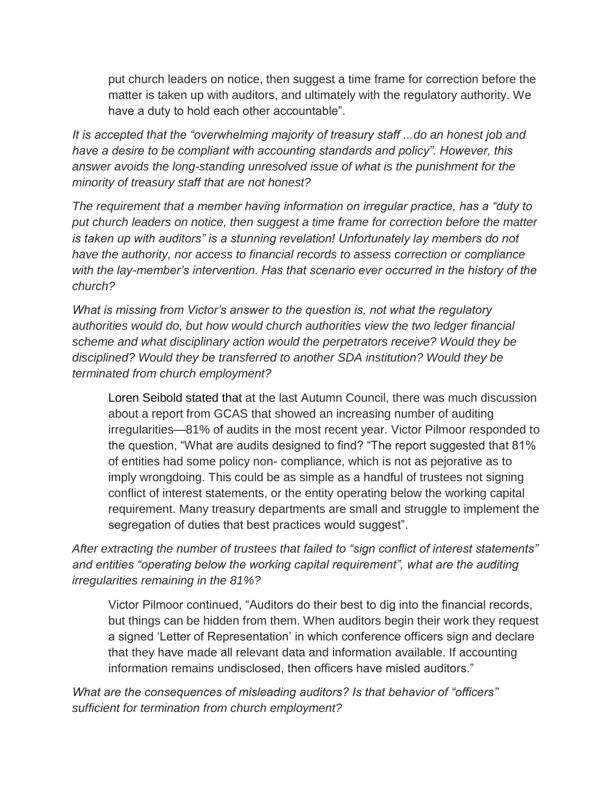put church leaders on notice, then suggest a time frame for correction before the matter is taken up with auditors, and ultimately with the regulatory authority. We have a duty to hold each other accountable".

*It is accepted that the "overwhelming majority of treasury staff ...do an honest job and have a desire to be compliant with accounting standards and policy". However, this answer avoids the long-standing unresolved issue of what is the punishment for the minority of treasury staff that are not honest?* 

*The requirement that a member having information on irregular practice, has a "duty to put church leaders on notice, then suggest a time frame for correction before the matter is taken up with auditors" is a stunning revelation! Unfortunately lay members do not have the authority, nor access to financial records to assess correction or compliance with the lay-member's intervention. Has that scenario ever occurred in the history of the church?* 

*What is missing from Victor's answer to the question is, not what the regulatory authorities would do, but how would church authorities view the two ledger financial scheme and what disciplinary action would the perpetrators receive? Would they be disciplined? Would they be transferred to another SDA institution? Would they be terminated from church employment?* 

Loren Seibold stated that at the last Autumn Council, there was much discussion about a report from GCAS that showed an increasing number of auditing irregularities—81% of audits in the most recent year. Victor Pilmoor responded to the question, "What are audits designed to find? "The report suggested that 81% of entities had some policy non- compliance, which is not as pejorative as to imply wrongdoing. This could be as simple as a handful of trustees not signing conflict of interest statements, or the entity operating below the working capital requirement. Many treasury departments are small and struggle to implement the segregation of duties that best practices would suggest".

*After extracting the number of trustees that failed to "sign conflict of interest statements" and entities "operating below the working capital requirement", what are the auditing irregularities remaining in the 81%?* 

Victor Pilmoor continued, "Auditors do their best to dig into the financial records, but things can be hidden from them. When auditors begin their work they request a signed 'Letter of Representation' in which conference officers sign and declare that they have made all relevant data and information available. If accounting information remains undisclosed, then officers have misled auditors."

*What are the consequences of misleading auditors? Is that behavior of "officers" sufficient for termination from church employment?*